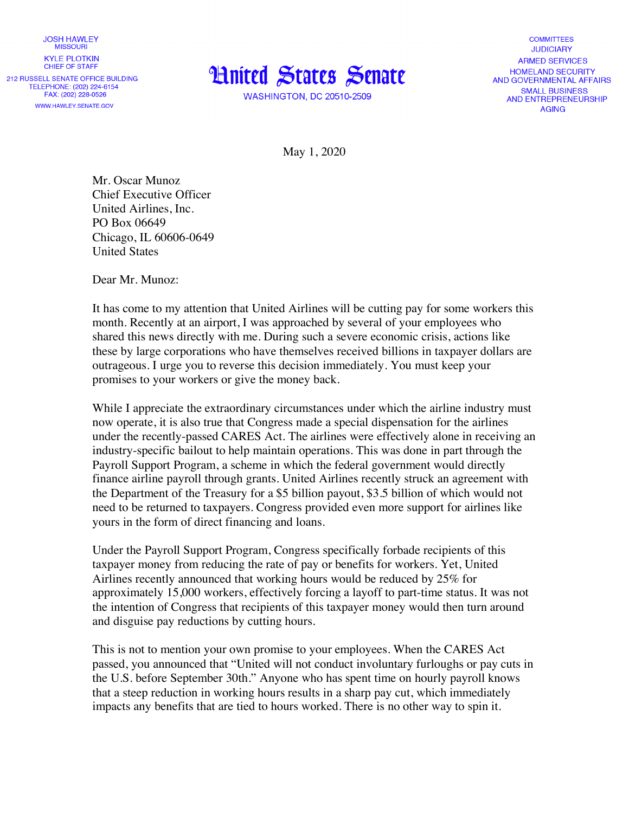**JOSH HAWLEY MISSOURI KYLE PLOTKIN** CHIEF OF STAFF 212 RUSSELL SENATE OFFICE BUILDING TELEPHONE: (202) 224-6154 FAX: (202) 228-0526 WWW.HAWLEY.SENATE.GOV



**WASHINGTON, DC 20510-2509** 

**COMMITTEES JUDICIARY ARMED SERVICES HOMELAND SECURITY** AND GOVERNMENTAL AFFAIRS **SMALL BUSINESS** AND ENTREPRENEURSHIP **AGING** 

May 1, 2020

Mr. Oscar Munoz Chief Executive Officer United Airlines, Inc. PO Box 06649 Chicago, IL 60606-0649 United States

Dear Mr. Munoz:

It has come to my attention that United Airlines will be cutting pay for some workers this month. Recently at an airport, I was approached by several of your employees who shared this news directly with me. During such a severe economic crisis, actions like these by large corporations who have themselves received billions in taxpayer dollars are outrageous. I urge you to reverse this decision immediately. You must keep your promises to your workers or give the money back.

While I appreciate the extraordinary circumstances under which the airline industry must now operate, it is also true that Congress made a special dispensation for the airlines under the recently-passed CARES Act. The airlines were effectively alone in receiving an industry-specific bailout to help maintain operations. This was done in part through the Payroll Support Program, a scheme in which the federal government would directly finance airline payroll through grants. United Airlines recently struck an agreement with the Department of the Treasury for a \$5 billion payout, \$3.5 billion of which would not need to be returned to taxpayers. Congress provided even more support for airlines like yours in the form of direct financing and loans.

Under the Payroll Support Program, Congress specifically forbade recipients of this taxpayer money from reducing the rate of pay or benefits for workers. Yet, United Airlines recently announced that working hours would be reduced by 25% for approximately 15,000 workers, effectively forcing a layoff to part-time status. It was not the intention of Congress that recipients of this taxpayer money would then turn around and disguise pay reductions by cutting hours.

This is not to mention your own promise to your employees. When the CARES Act passed, you announced that "United will not conduct involuntary furloughs or pay cuts in the U.S. before September 30th." Anyone who has spent time on hourly payroll knows that a steep reduction in working hours results in a sharp pay cut, which immediately impacts any benefits that are tied to hours worked. There is no other way to spin it.